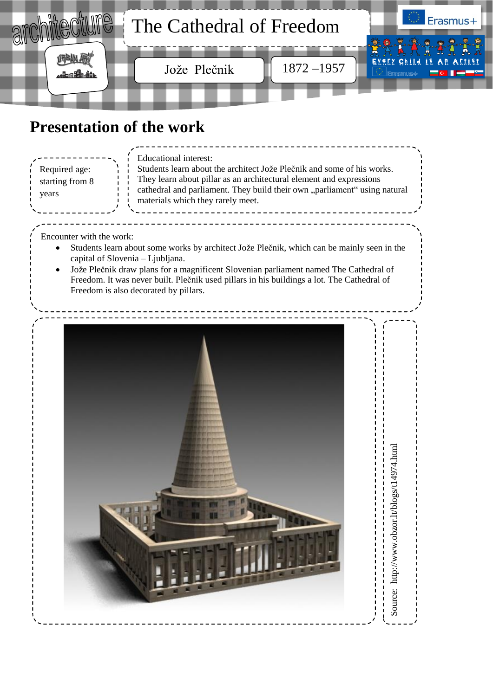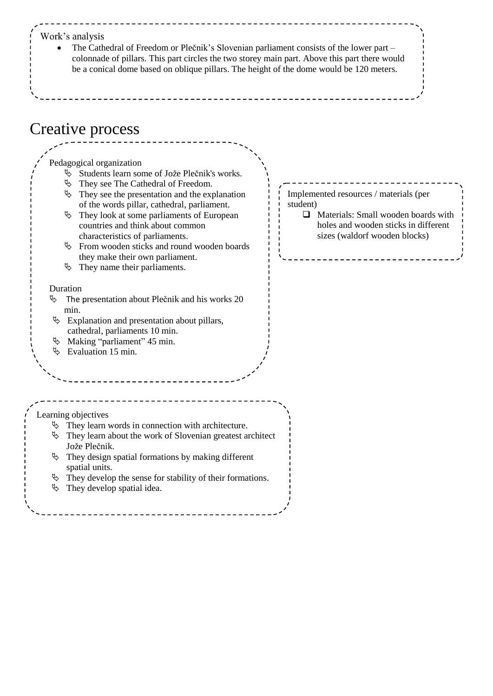## Creative process Implemented resources / materials (per student) **Q** Materials: Small wooden boards with holes and wooden sticks in different sizes (waldorf wooden blocks) Work's analysis The Cathedral of Freedom or Plečnik's Slovenian parliament consists of the lower part – colonnade of pillars. This part circles the two storey main part. Above this part there would be a conical dome based on oblique pillars. The height of the dome would be 120 meters. Pedagogical organization Students learn some of Jože Plečnik's works.  $\%$  They see The Cathedral of Freedom.  $\&$  They see the presentation and the explanation of the words pillar, cathedral, parliament.  $\&$  They look at some parliaments of European countries and think about common characteristics of parliaments.  $\&$  From wooden sticks and round wooden boards they make their own parliament.  $\uparrow$  They name their parliaments. Duration  $\%$  The presentation about Plečnik and his works 20 min.  $\&$  Explanation and presentation about pillars, cathedral, parliaments 10 min. Making "parliament" 45 min.  $\%$  Evaluation 15 min. Learning objectives  $\&$  They learn words in connection with architecture.  $\&$  They learn about the work of Slovenian greatest architect Jože Plečnik.  $\&$  They design spatial formations by making different spatial units.  $\&$  They develop the sense for stability of their formations.  $\&$  They develop spatial idea.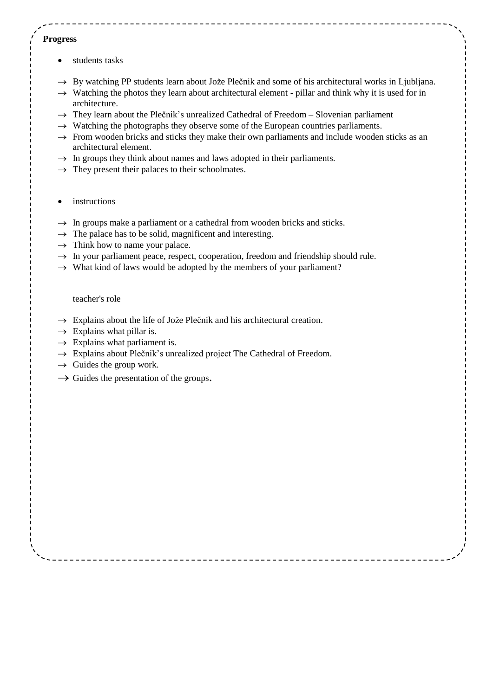## **Progress**

- students tasks
- $\rightarrow$  By watching PP students learn about Jože Plečnik and some of his architectural works in Ljubljana.
- $\rightarrow$  Watching the photos they learn about architectural element pillar and think why it is used for in architecture.
- $\rightarrow$  They learn about the Plečnik's unrealized Cathedral of Freedom Slovenian parliament
- $\rightarrow$  Watching the photographs they observe some of the European countries parliaments.
- $\rightarrow$  From wooden bricks and sticks they make their own parliaments and include wooden sticks as an architectural element.
- $\rightarrow$  In groups they think about names and laws adopted in their parliaments.
- $\rightarrow$  They present their palaces to their schoolmates.
- instructions
- $\rightarrow$  In groups make a parliament or a cathedral from wooden bricks and sticks.
- $\rightarrow$  The palace has to be solid, magnificent and interesting.
- $\rightarrow$  Think how to name your palace.
- $\rightarrow$  In your parliament peace, respect, cooperation, freedom and friendship should rule.
- $\rightarrow$  What kind of laws would be adopted by the members of your parliament?

teacher's role

- $\rightarrow$  Explains about the life of Jože Plečnik and his architectural creation.
- $\rightarrow$  Explains what pillar is.
- $\rightarrow$  Explains what parliament is.
- $\rightarrow$  Explains about Plečnik's unrealized project The Cathedral of Freedom.
- $\rightarrow$  Guides the group work.
- $\rightarrow$  Guides the presentation of the groups.